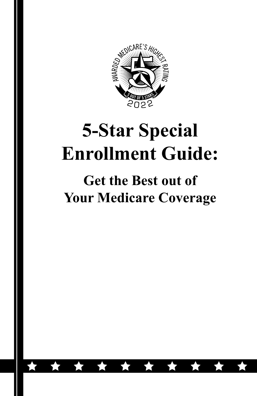

# **5-Star Special Enrollment Guide:**

#### **Get the Best out of Your Medicare Coverage**

食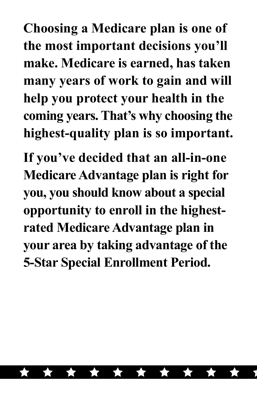**Choosing a Medicare plan is one of the most important decisions you'll make. Medicare is earned, has taken many years of work to gain and will help you protect your health in the coming years. That's why choosing the highest-quality plan is so important.** 

**If you've decided that an all-in-one Medicare Advantage plan is right for you, you should know about a special opportunity to enroll in the highestrated Medicare Advantage plan in your area by taking advantage of the 5-Star Special Enrollment Period.**

\* \* \* \* \*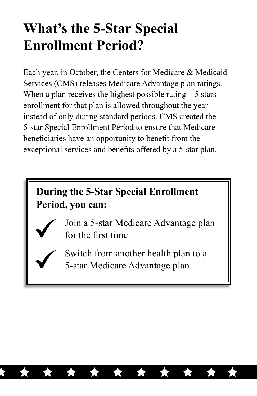### **What's the 5-Star Special Enrollment Period?**

Each year, in October, the Centers for Medicare & Medicaid Services (CMS) releases Medicare Advantage plan ratings. When a plan receives the highest possible rating—5 stars enrollment for that plan is allowed throughout the year instead of only during standard periods. CMS created the 5-star Special Enrollment Period to ensure that Medicare beneficiaries have an opportunity to benefit from the exceptional services and benefits offered by a 5-star plan.

#### **During the 5-Star Special Enrollment Period, you can:**

- 
- Join a 5-star Medicare Advantage plan for the first time
- Switch from another health plan to a 5-star Medicare Advantage plan

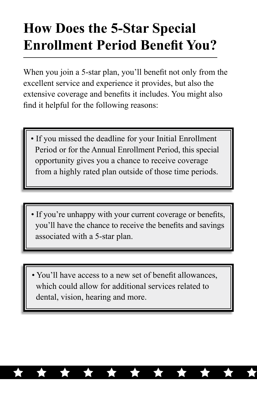### **How Does the 5-Star Special Enrollment Period Benefit You?**

When you join a 5-star plan, you'll benefit not only from the excellent service and experience it provides, but also the extensive coverage and benefits it includes. You might also find it helpful for the following reasons:

- If you missed the deadline for your Initial Enrollment Period or for the Annual Enrollment Period, this special opportunity gives you a chance to receive coverage from a highly rated plan outside of those time periods.
- If you're unhappy with your current coverage or benefits, you'll have the chance to receive the benefits and savings associated with a 5-star plan.
- You'll have access to a new set of benefit allowances, which could allow for additional services related to dental, vision, hearing and more.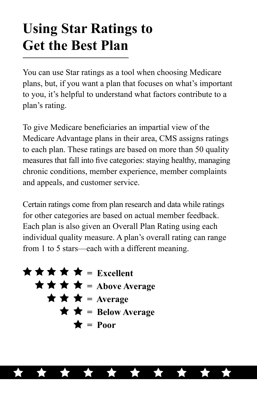### **Using Star Ratings to Get the Best Plan**

You can use Star ratings as a tool when choosing Medicare plans, but, if you want a plan that focuses on what's important to you, it's helpful to understand what factors contribute to a plan's rating.

To give Medicare beneficiaries an impartial view of the Medicare Advantage plans in their area, CMS assigns ratings to each plan. These ratings are based on more than 50 quality measures that fall into five categories: staying healthy, managing chronic conditions, member experience, member complaints and appeals, and customer service.

Certain ratings come from plan research and data while ratings for other categories are based on actual member feedback. Each plan is also given an Overall Plan Rating using each individual quality measure. A plan's overall rating can range from 1 to 5 stars—each with a different meaning.

$$
\begin{array}{rcl}\n\bigstar\bigstar\bigstar\bigstar&=\text{Excellent} \\
\bigstar\bigstar\bigstar&=\text{Above Average} \\
\bigstar\bigstar&=\text{Average} \\
\bigstar\bigstar&=\text{Below Average} \\
\bigstar&=\text{Poor}\n\end{array}
$$

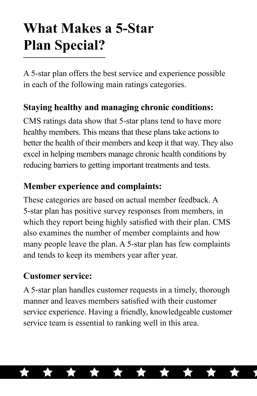## **What Makes a 5-Star Plan Special?**

A 5-star plan offers the best service and experience possible in each of the following main ratings categories.

#### **Staying healthy and managing chronic conditions:**

CMS ratings data show that 5-star plans tend to have more healthy members. This means that these plans take actions to better the health of their members and keep it that way. They also excel in helping members manage chronic health conditions by reducing barriers to getting important treatments and tests.

#### **Member experience and complaints:**

These categories are based on actual member feedback. A 5-star plan has positive survey responses from members, in which they report being highly satisfied with their plan. CMS also examines the number of member complaints and how many people leave the plan. A 5-star plan has few complaints and tends to keep its members year after year.

#### **Customer service:**

A 5-star plan handles customer requests in a timely, thorough manner and leaves members satisfied with their customer service experience. Having a friendly, knowledgeable customer service team is essential to ranking well in this area.

\* \* \* \* \*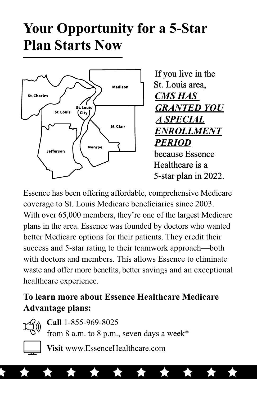### **Your Opportunity for a 5-Star Plan Starts Now**



If you live in the St. Louis area, *A SPECIAL ENROLLMENT PERIOD* Healthcare is a 5-star plan in 2022.

Essence has been offering affordable, comprehensive Medicare coverage to St. Louis Medicare beneficiaries since 2003. With over 65,000 members, they're one of the largest Medicare plans in the area. Essence was founded by doctors who wanted better Medicare options for their patients. They credit their success and 5-star rating to their teamwork approach—both with doctors and members. This allows Essence to eliminate waste and offer more benefits, better savings and an exceptional healthcare experience.

#### **To learn more about Essence Healthcare Medicare Advantage plans:**



**Call** 1-855-969-8025

from 8 a.m. to 8 p.m., seven days a week\*

\* \* \* \* \*



**Visit** www.EssenceHealthcare.com